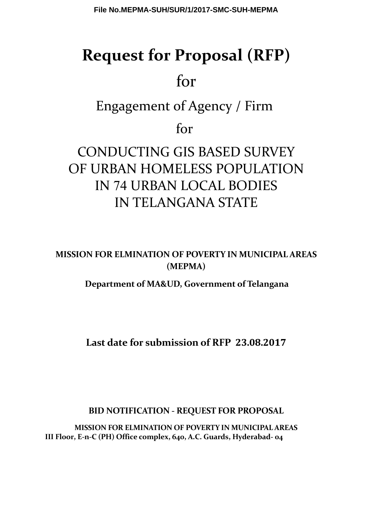# **Request for Proposal (RFP)**

# for

Engagement of Agency / Firm

for

# CONDUCTING GIS BASED SURVEY OF URBAN HOMELESS POPULATION IN 74 URBAN LOCAL BODIES IN TELANGANA STATE

**MISSION FOR ELMINATION OF POVERTY IN MUNICIPAL AREAS (MEPMA)**

**Department of MA&UD, Government of Telangana**

**Last date for submission of RFP 23.08.2017**

**BID NOTIFICATION - REQUEST FOR PROPOSAL**

**MISSION FOR ELMINATION OF POVERTY IN MUNICIPAL AREAS III Floor, E-n-C (PH) Office complex, 640, A.C. Guards, Hyderabad- 04**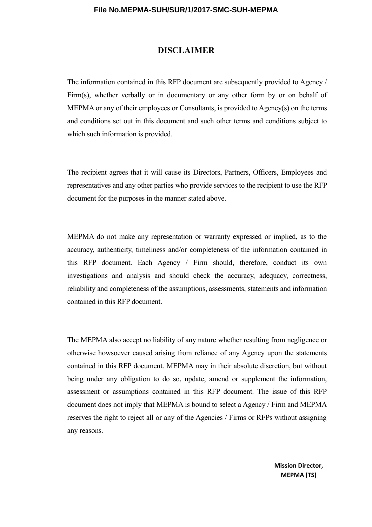#### **DISCLAIMER**

The information contained in this RFP document are subsequently provided to Agency / Firm(s), whether verbally or in documentary or any other form by or on behalf of MEPMA or any of their employees or Consultants, is provided to Agency(s) on the terms and conditions set out in this document and such other terms and conditions subject to which such information is provided.

The recipient agrees that it will cause its Directors, Partners, Officers, Employees and representatives and any other parties who provide services to the recipient to use the RFP document for the purposes in the manner stated above.

MEPMA do not make any representation or warranty expressed or implied, as to the accuracy, authenticity, timeliness and/or completeness of the information contained in this RFP document. Each Agency / Firm should, therefore, conduct its own investigations and analysis and should check the accuracy, adequacy, correctness, reliability and completeness of the assumptions, assessments, statements and information contained in this RFP document.

The MEPMA also accept no liability of any nature whether resulting from negligence or otherwise howsoever caused arising from reliance of any Agency upon the statements contained in this RFP document. MEPMA may in their absolute discretion, but without being under any obligation to do so, update, amend or supplement the information, assessment or assumptions contained in this RFP document. The issue of this RFP document does not imply that MEPMA is bound to select a Agency / Firm and MEPMA reserves the right to reject all or any of the Agencies / Firms or RFPs without assigning any reasons.

> **Mission Director, MEPMA (TS)**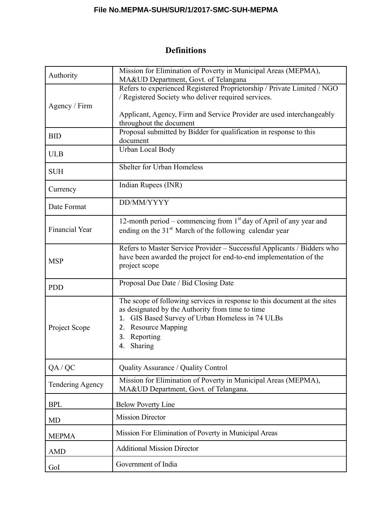# **Definitions**

| Authority                                                                                                                   | Mission for Elimination of Poverty in Municipal Areas (MEPMA),<br>MA&UD Department, Govt. of Telangana                                                                                                                                           |  |  |
|-----------------------------------------------------------------------------------------------------------------------------|--------------------------------------------------------------------------------------------------------------------------------------------------------------------------------------------------------------------------------------------------|--|--|
| Agency / Firm                                                                                                               | Refers to experienced Registered Proprietorship / Private Limited / NGO<br>/ Registered Society who deliver required services.<br>Applicant, Agency, Firm and Service Provider are used interchangeably                                          |  |  |
| <b>BID</b>                                                                                                                  | throughout the document<br>Proposal submitted by Bidder for qualification in response to this<br>document                                                                                                                                        |  |  |
| <b>ULB</b>                                                                                                                  | Urban Local Body                                                                                                                                                                                                                                 |  |  |
| <b>SUH</b>                                                                                                                  | Shelter for Urban Homeless                                                                                                                                                                                                                       |  |  |
| Currency                                                                                                                    | Indian Rupees (INR)                                                                                                                                                                                                                              |  |  |
| Date Format                                                                                                                 | DD/MM/YYYY                                                                                                                                                                                                                                       |  |  |
| <b>Financial Year</b>                                                                                                       | 12-month period – commencing from $1st$ day of April of any year and<br>ending on the 31 <sup>st</sup> March of the following calendar year                                                                                                      |  |  |
| <b>MSP</b>                                                                                                                  | Refers to Master Service Provider - Successful Applicants / Bidders who<br>have been awarded the project for end-to-end implementation of the<br>project scope                                                                                   |  |  |
| <b>PDD</b>                                                                                                                  | Proposal Due Date / Bid Closing Date                                                                                                                                                                                                             |  |  |
| Project Scope                                                                                                               | The scope of following services in response to this document at the sites<br>as designated by the Authority from time to time<br>GIS Based Survey of Urban Homeless in 74 ULBs<br>1.<br>2. Resource Mapping<br>Reporting<br>3.<br><b>Sharing</b> |  |  |
| QA / QC                                                                                                                     | Quality Assurance / Quality Control                                                                                                                                                                                                              |  |  |
| Mission for Elimination of Poverty in Municipal Areas (MEPMA),<br>Tendering Agency<br>MA&UD Department, Govt. of Telangana. |                                                                                                                                                                                                                                                  |  |  |
| <b>BPL</b>                                                                                                                  | <b>Below Poverty Line</b>                                                                                                                                                                                                                        |  |  |
| <b>MD</b>                                                                                                                   | <b>Mission Director</b>                                                                                                                                                                                                                          |  |  |
| <b>MEPMA</b>                                                                                                                | Mission For Elimination of Poverty in Municipal Areas                                                                                                                                                                                            |  |  |
| <b>AMD</b>                                                                                                                  | <b>Additional Mission Director</b>                                                                                                                                                                                                               |  |  |
| GoI                                                                                                                         | Government of India                                                                                                                                                                                                                              |  |  |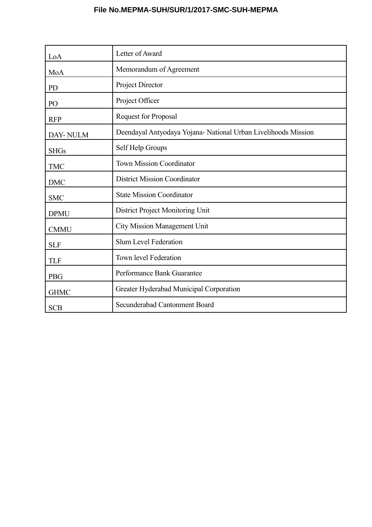| LoA         | Letter of Award                                                |  |
|-------------|----------------------------------------------------------------|--|
| MoA         | Memorandum of Agreement                                        |  |
| PD          | Project Director                                               |  |
| PO          | Project Officer                                                |  |
| <b>RFP</b>  | <b>Request for Proposal</b>                                    |  |
| DAY-NULM    | Deendayal Antyodaya Yojana- National Urban Livelihoods Mission |  |
| <b>SHGs</b> | Self Help Groups                                               |  |
| <b>TMC</b>  | <b>Town Mission Coordinator</b>                                |  |
| <b>DMC</b>  | <b>District Mission Coordinator</b>                            |  |
| <b>SMC</b>  | <b>State Mission Coordinator</b>                               |  |
| <b>DPMU</b> | District Project Monitoring Unit                               |  |
| <b>CMMU</b> | <b>City Mission Management Unit</b>                            |  |
| <b>SLF</b>  | <b>Slum Level Federation</b>                                   |  |
| <b>TLF</b>  | Town level Federation                                          |  |
| <b>PBG</b>  | Performance Bank Guarantee                                     |  |
| <b>GHMC</b> | Greater Hyderabad Municipal Corporation                        |  |
| <b>SCB</b>  | Secunderabad Cantonment Board                                  |  |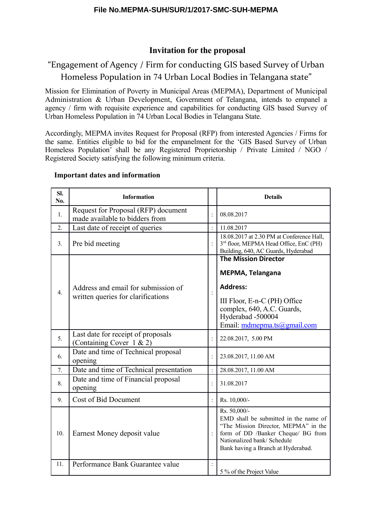# **Invitation for the proposal**

# "Engagement of Agency / Firm for conducting GIS based Survey of Urban Homeless Population in 74 Urban Local Bodies in Telangana state"

Mission for Elimination of Poverty in Municipal Areas (MEPMA), Department of Municipal Administration & Urban Development, Government of Telangana, intends to empanel a agency / firm with requisite experience and capabilities for conducting GIS based Survey of Urban Homeless Population in 74 Urban Local Bodies in Telangana State.

Accordingly, MEPMA invites Request for Proposal (RFP) from interested Agencies / Firms for the same. Entities eligible to bid for the empanelment for the 'GIS Based Survey of Urban Homeless Population' shall be any Registered Proprietorship / Private Limited / NGO / Registered Society satisfying the following minimum criteria.

| SI.<br>No.       | <b>Information</b>                                                        |                | <b>Details</b>                                                                                                                                                                                           |
|------------------|---------------------------------------------------------------------------|----------------|----------------------------------------------------------------------------------------------------------------------------------------------------------------------------------------------------------|
| 1.               | Request for Proposal (RFP) document<br>made available to bidders from     |                | 08.08.2017                                                                                                                                                                                               |
| $\overline{2}$ . | Last date of receipt of queries                                           |                | 11.08.2017                                                                                                                                                                                               |
| 3.               | Pre bid meeting                                                           |                | 18.08.2017 at 2.30 PM at Conference Hall,<br>3 <sup>rd</sup> floor, MEPMA Head Office, EnC (PH)<br>Building, 640, AC Guards, Hyderabad                                                                   |
| $\overline{4}$ . | Address and email for submission of<br>written queries for clarifications |                | <b>The Mission Director</b><br>MEPMA, Telangana<br><b>Address:</b><br>III Floor, E-n-C (PH) Office<br>complex, 640, A.C. Guards,<br>Hyderabad -500004<br>Email: $mdmepma.ts@gmail.com$                   |
| 5 <sub>1</sub>   | Last date for receipt of proposals<br>(Containing Cover $1 & 2$ )         |                | 22.08.2017, 5.00 PM                                                                                                                                                                                      |
| 6.               | Date and time of Technical proposal<br>opening                            |                | 23.08.2017, 11.00 AM                                                                                                                                                                                     |
| 7.               | Date and time of Technical presentation                                   |                | 28.08.2017, 11.00 AM                                                                                                                                                                                     |
| 8.               | Date and time of Financial proposal<br>opening                            | $\ddot{\cdot}$ | 31.08.2017                                                                                                                                                                                               |
| 9.               | Cost of Bid Document                                                      | $\ddot{\cdot}$ | Rs. 10,000/-                                                                                                                                                                                             |
| 10.              | Earnest Money deposit value                                               |                | Rs. 50,000/-<br>EMD shall be submitted in the name of<br>"The Mission Director, MEPMA" in the<br>form of DD /Banker Cheque/ BG from<br>Nationalized bank/ Schedule<br>Bank having a Branch at Hyderabad. |
| 11.              | Performance Bank Guarantee value                                          |                | 5 % of the Project Value                                                                                                                                                                                 |

#### **Important dates and information**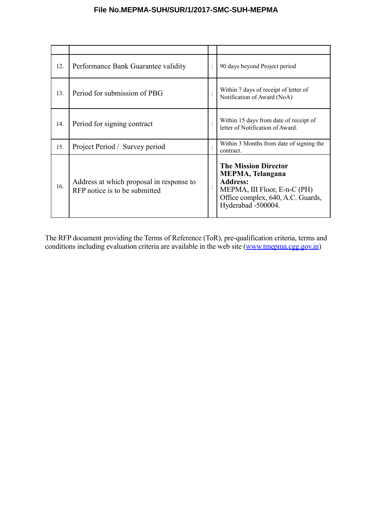| 12. | Performance Bank Guarantee validity                                       | 90 days beyond Project period                                                                                                                                        |
|-----|---------------------------------------------------------------------------|----------------------------------------------------------------------------------------------------------------------------------------------------------------------|
| 13. | Period for submission of PBG                                              | Within 7 days of receipt of letter of<br>Notification of Award (NoA)                                                                                                 |
| 14. | Period for signing contract                                               | Within 15 days from date of receipt of<br>letter of Notification of Award.                                                                                           |
| 15. | Project Period / Survey period                                            | Within 3 Months from date of signing the<br>contract.                                                                                                                |
| 16. | Address at which proposal in response to<br>RFP notice is to be submitted | <b>The Mission Director</b><br><b>MEPMA, Telangana</b><br><b>Address:</b><br>MEPMA, III Floor, E-n-C (PH)<br>Office complex, 640, A.C. Guards,<br>Hyderabad -500004. |

The RFP document providing the Terms of Reference (ToR), pre-qualification criteria, terms and conditions including evaluation criteria are available in the web site [\(www.tmepma.cgg.gov.in\)](http://www.tmepma.cgg.gov.in/)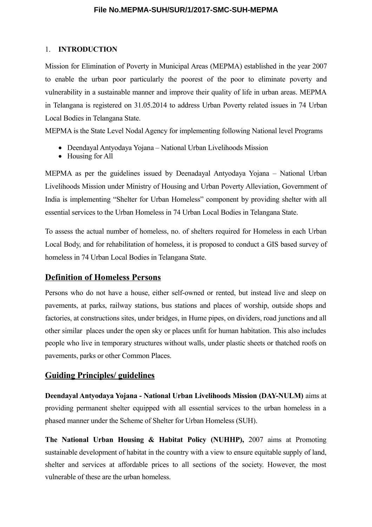#### 1. **INTRODUCTION**

Mission for Elimination of Poverty in Municipal Areas (MEPMA) established in the year 2007 to enable the urban poor particularly the poorest of the poor to eliminate poverty and vulnerability in a sustainable manner and improve their quality of life in urban areas. MEPMA in Telangana is registered on 31.05.2014 to address Urban Poverty related issues in 74 Urban Local Bodies in Telangana State.

MEPMA is the State Level Nodal Agency for implementing following National level Programs

- Deendayal Antyodaya Yojana National Urban Livelihoods Mission
- Housing for All

MEPMA as per the guidelines issued by Deenadayal Antyodaya Yojana – National Urban Livelihoods Mission under Ministry of Housing and Urban Poverty Alleviation, Government of India is implementing "Shelter for Urban Homeless" component by providing shelter with all essential services to the Urban Homeless in 74 Urban Local Bodies in Telangana State.

To assess the actual number of homeless, no. of shelters required for Homeless in each Urban Local Body, and for rehabilitation of homeless, it is proposed to conduct a GIS based survey of homeless in 74 Urban Local Bodies in Telangana State.

## **Definition of Homeless Persons**

Persons who do not have a house, either self-owned or rented, but instead live and sleep on pavements, at parks, railway stations, bus stations and places of worship, outside shops and factories, at constructions sites, under bridges, in Hume pipes, on dividers, road junctions and all other similar places under the open sky or places unfit for human habitation. This also includes people who live in temporary structures without walls, under plastic sheets or thatched roofs on pavements, parks or other Common Places.

#### **Guiding Principles/ guidelines**

**Deendayal Antyodaya Yojana - National Urban Livelihoods Mission (DAY-NULM)** aims at providing permanent shelter equipped with all essential services to the urban homeless in a phased manner under the Scheme of Shelter for Urban Homeless (SUH).

**The National Urban Housing & Habitat Policy (NUHHP),** 2007 aims at Promoting sustainable development of habitat in the country with a view to ensure equitable supply of land, shelter and services at affordable prices to all sections of the society. However, the most vulnerable of these are the urban homeless.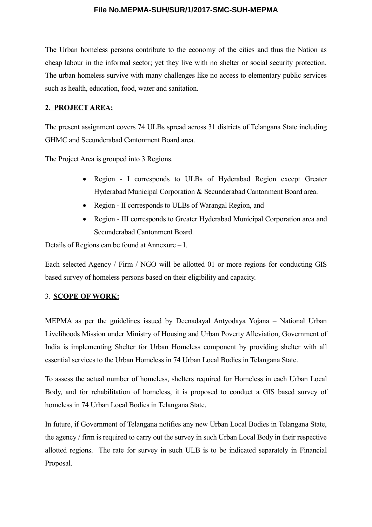The Urban homeless persons contribute to the economy of the cities and thus the Nation as cheap labour in the informal sector; yet they live with no shelter or social security protection. The urban homeless survive with many challenges like no access to elementary public services such as health, education, food, water and sanitation.

#### **2. PROJECT AREA:**

The present assignment covers 74 ULBs spread across 31 districts of Telangana State including GHMC and Secunderabad Cantonment Board area.

The Project Area is grouped into 3 Regions.

- Region I corresponds to ULBs of Hyderabad Region except Greater Hyderabad Municipal Corporation & Secunderabad Cantonment Board area.
- Region II corresponds to ULBs of Warangal Region, and
- Region III corresponds to Greater Hyderabad Municipal Corporation area and Secunderabad Cantonment Board.

Details of Regions can be found at Annexure – I.

Each selected Agency / Firm / NGO will be allotted 01 or more regions for conducting GIS based survey of homeless persons based on their eligibility and capacity.

#### 3. **SCOPE OF WORK:**

MEPMA as per the guidelines issued by Deenadayal Antyodaya Yojana – National Urban Livelihoods Mission under Ministry of Housing and Urban Poverty Alleviation, Government of India is implementing Shelter for Urban Homeless component by providing shelter with all essential services to the Urban Homeless in 74 Urban Local Bodies in Telangana State.

To assess the actual number of homeless, shelters required for Homeless in each Urban Local Body, and for rehabilitation of homeless, it is proposed to conduct a GIS based survey of homeless in 74 Urban Local Bodies in Telangana State.

In future, if Government of Telangana notifies any new Urban Local Bodies in Telangana State, the agency / firm is required to carry out the survey in such Urban Local Body in their respective allotted regions. The rate for survey in such ULB is to be indicated separately in Financial Proposal.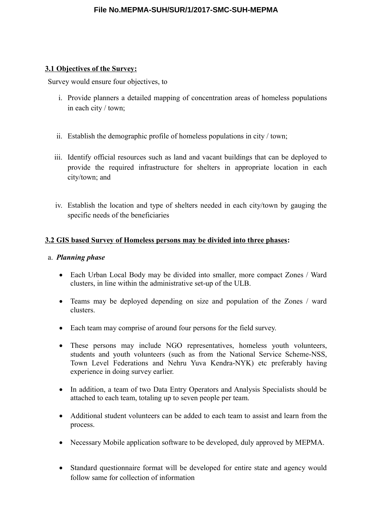#### **3.1 Objectives of the Survey:**

Survey would ensure four objectives, to

- i. Provide planners a detailed mapping of concentration areas of homeless populations in each city / town;
- ii. Establish the demographic profile of homeless populations in city / town;
- iii. Identify official resources such as land and vacant buildings that can be deployed to provide the required infrastructure for shelters in appropriate location in each city/town; and
- iv. Establish the location and type of shelters needed in each city/town by gauging the specific needs of the beneficiaries

## **3.2 GIS based Survey of Homeless persons may be divided into three phases:**

#### a. *Planning phase*

- Each Urban Local Body may be divided into smaller, more compact Zones / Ward clusters, in line within the administrative set-up of the ULB.
- Teams may be deployed depending on size and population of the Zones / ward clusters.
- Each team may comprise of around four persons for the field survey.
- These persons may include NGO representatives, homeless youth volunteers, students and youth volunteers (such as from the National Service Scheme-NSS, Town Level Federations and Nehru Yuva Kendra-NYK) etc preferably having experience in doing survey earlier.
- In addition, a team of two Data Entry Operators and Analysis Specialists should be attached to each team, totaling up to seven people per team.
- Additional student volunteers can be added to each team to assist and learn from the process.
- Necessary Mobile application software to be developed, duly approved by MEPMA.
- Standard questionnaire format will be developed for entire state and agency would follow same for collection of information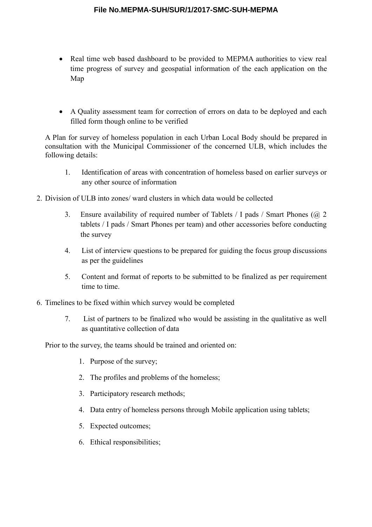- Real time web based dashboard to be provided to MEPMA authorities to view real time progress of survey and geospatial information of the each application on the Map
- A Quality assessment team for correction of errors on data to be deployed and each filled form though online to be verified

A Plan for survey of homeless population in each Urban Local Body should be prepared in consultation with the Municipal Commissioner of the concerned ULB, which includes the following details:

- 1. Identification of areas with concentration of homeless based on earlier surveys or any other source of information
- 2. Division of ULB into zones/ ward clusters in which data would be collected
	- 3. Ensure availability of required number of Tablets / I pads / Smart Phones (@ 2 tablets / I pads / Smart Phones per team) and other accessories before conducting the survey
	- 4. List of interview questions to be prepared for guiding the focus group discussions as per the guidelines
	- 5. Content and format of reports to be submitted to be finalized as per requirement time to time.
- 6. Timelines to be fixed within which survey would be completed
	- 7. List of partners to be finalized who would be assisting in the qualitative as well as quantitative collection of data

Prior to the survey, the teams should be trained and oriented on:

- 1. Purpose of the survey;
- 2. The profiles and problems of the homeless;
- 3. Participatory research methods;
- 4. Data entry of homeless persons through Mobile application using tablets;
- 5. Expected outcomes;
- 6. Ethical responsibilities;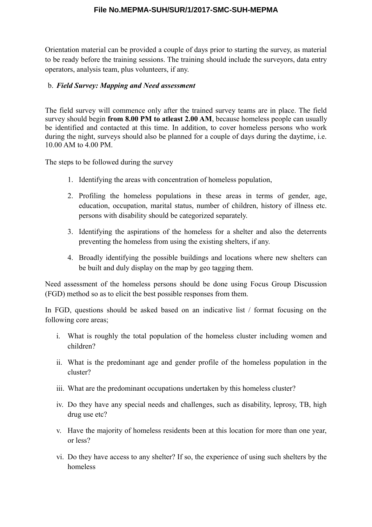Orientation material can be provided a couple of days prior to starting the survey, as material to be ready before the training sessions. The training should include the surveyors, data entry operators, analysis team, plus volunteers, if any.

#### b. *Field Survey: Mapping and Need assessment*

The field survey will commence only after the trained survey teams are in place. The field survey should begin **from 8.00 PM to atleast 2.00 AM**, because homeless people can usually be identified and contacted at this time. In addition, to cover homeless persons who work during the night, surveys should also be planned for a couple of days during the daytime, i.e. 10.00 AM to 4.00 PM.

The steps to be followed during the survey

- 1. Identifying the areas with concentration of homeless population,
- 2. Profiling the homeless populations in these areas in terms of gender, age, education, occupation, marital status, number of children, history of illness etc. persons with disability should be categorized separately.
- 3. Identifying the aspirations of the homeless for a shelter and also the deterrents preventing the homeless from using the existing shelters, if any.
- 4. Broadly identifying the possible buildings and locations where new shelters can be built and duly display on the map by geo tagging them.

Need assessment of the homeless persons should be done using Focus Group Discussion (FGD) method so as to elicit the best possible responses from them.

In FGD, questions should be asked based on an indicative list / format focusing on the following core areas;

- i. What is roughly the total population of the homeless cluster including women and children?
- ii. What is the predominant age and gender profile of the homeless population in the cluster?
- iii. What are the predominant occupations undertaken by this homeless cluster?
- iv. Do they have any special needs and challenges, such as disability, leprosy, TB, high drug use etc?
- v. Have the majority of homeless residents been at this location for more than one year, or less?
- vi. Do they have access to any shelter? If so, the experience of using such shelters by the homeless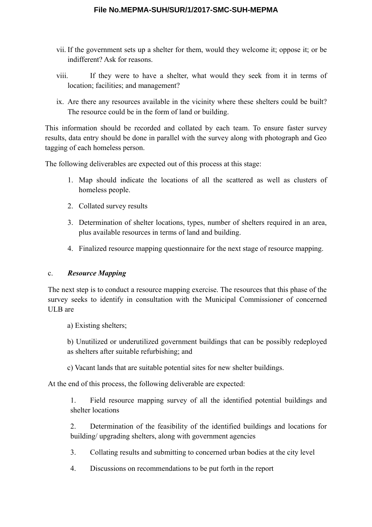- vii. If the government sets up a shelter for them, would they welcome it; oppose it; or be indifferent? Ask for reasons.
- viii. If they were to have a shelter, what would they seek from it in terms of location; facilities; and management?
- ix. Are there any resources available in the vicinity where these shelters could be built? The resource could be in the form of land or building.

This information should be recorded and collated by each team. To ensure faster survey results, data entry should be done in parallel with the survey along with photograph and Geo tagging of each homeless person.

The following deliverables are expected out of this process at this stage:

- 1. Map should indicate the locations of all the scattered as well as clusters of homeless people.
- 2. Collated survey results
- 3. Determination of shelter locations, types, number of shelters required in an area, plus available resources in terms of land and building.
- 4. Finalized resource mapping questionnaire for the next stage of resource mapping.

#### c. *Resource Mapping*

The next step is to conduct a resource mapping exercise. The resources that this phase of the survey seeks to identify in consultation with the Municipal Commissioner of concerned ULB are

a) Existing shelters;

b) Unutilized or underutilized government buildings that can be possibly redeployed as shelters after suitable refurbishing; and

c) Vacant lands that are suitable potential sites for new shelter buildings.

At the end of this process, the following deliverable are expected:

1. Field resource mapping survey of all the identified potential buildings and shelter locations

2. Determination of the feasibility of the identified buildings and locations for building/ upgrading shelters, along with government agencies

3. Collating results and submitting to concerned urban bodies at the city level

4. Discussions on recommendations to be put forth in the report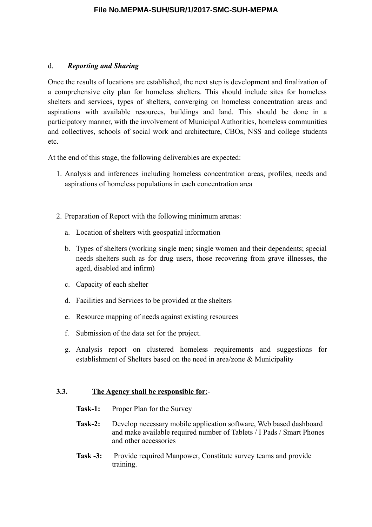#### d. *Reporting and Sharing*

Once the results of locations are established, the next step is development and finalization of a comprehensive city plan for homeless shelters. This should include sites for homeless shelters and services, types of shelters, converging on homeless concentration areas and aspirations with available resources, buildings and land. This should be done in a participatory manner, with the involvement of Municipal Authorities, homeless communities and collectives, schools of social work and architecture, CBOs, NSS and college students etc.

At the end of this stage, the following deliverables are expected:

- 1. Analysis and inferences including homeless concentration areas, profiles, needs and aspirations of homeless populations in each concentration area
- 2. Preparation of Report with the following minimum arenas:
	- a. Location of shelters with geospatial information
	- b. Types of shelters (working single men; single women and their dependents; special needs shelters such as for drug users, those recovering from grave illnesses, the aged, disabled and infirm)
	- c. Capacity of each shelter
	- d. Facilities and Services to be provided at the shelters
	- e. Resource mapping of needs against existing resources
	- f. Submission of the data set for the project.
	- g. Analysis report on clustered homeless requirements and suggestions for establishment of Shelters based on the need in area/zone & Municipality

#### **3.3. The Agency shall be responsible for**:-

- Task-1: Proper Plan for the Survey
- **Task-2:** Develop necessary mobile application software, Web based dashboard and make available required number of Tablets / I Pads / Smart Phones and other accessories
- **Task -3:** Provide required Manpower, Constitute survey teams and provide training.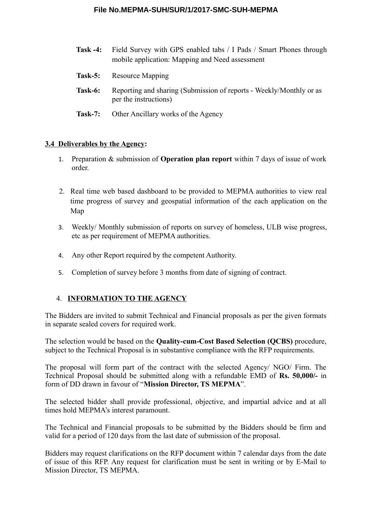- **Task -4:** Field Survey with GPS enabled tabs / I Pads / Smart Phones through mobile application: Mapping and Need assessment **Task-5:** Resource Mapping **Task-6:** Reporting and sharing (Submission of reports - Weekly/Monthly or as per the instructions)
- **Task-7:** Other Ancillary works of the Agency

#### **3.4 Deliverables by the Agency:**

- 1. Preparation & submission of **Operation plan report** within 7 days of issue of work order.
- 2. Real time web based dashboard to be provided to MEPMA authorities to view real time progress of survey and geospatial information of the each application on the Map
- 3. Weekly/ Monthly submission of reports on survey of homeless, ULB wise progress, etc as per requirement of MEPMA authorities.
- 4. Any other Report required by the competent Authority.
- 5. Completion of survey before 3 months from date of signing of contract.

#### 4. **INFORMATION TO THE AGENCY**

The Bidders are invited to submit Technical and Financial proposals as per the given formats in separate sealed covers for required work.

The selection would be based on the **Quality-cum-Cost Based Selection (QCBS)** procedure, subject to the Technical Proposal is in substantive compliance with the RFP requirements.

The proposal will form part of the contract with the selected Agency/ NGO/ Firm. The Technical Proposal should be submitted along with a refundable EMD of **Rs. 50,000/-** in form of DD drawn in favour of "**Mission Director, TS MEPMA**".

The selected bidder shall provide professional, objective, and impartial advice and at all times hold MEPMA's interest paramount.

The Technical and Financial proposals to be submitted by the Bidders should be firm and valid for a period of 120 days from the last date of submission of the proposal.

Bidders may request clarifications on the RFP document within 7 calendar days from the date of issue of this RFP. Any request for clarification must be sent in writing or by E-Mail to Mission Director, TS MEPMA.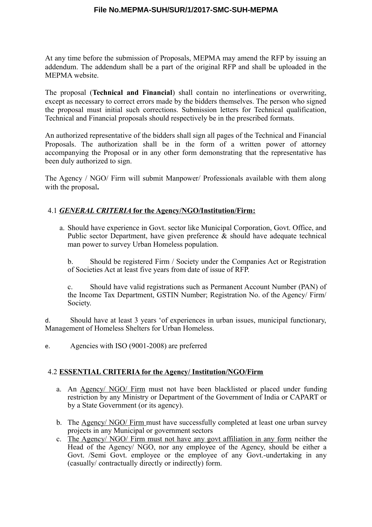At any time before the submission of Proposals, MEPMA may amend the RFP by issuing an addendum. The addendum shall be a part of the original RFP and shall be uploaded in the MEPMA website.

The proposal (**Technical and Financial**) shall contain no interlineations or overwriting, except as necessary to correct errors made by the bidders themselves. The person who signed the proposal must initial such corrections. Submission letters for Technical qualification, Technical and Financial proposals should respectively be in the prescribed formats.

An authorized representative of the bidders shall sign all pages of the Technical and Financial Proposals. The authorization shall be in the form of a written power of attorney accompanying the Proposal or in any other form demonstrating that the representative has been duly authorized to sign.

The Agency / NGO/ Firm will submit Manpower/ Professionals available with them along with the proposal**.**

#### 4.1 *GENERAL CRITERIA* **for the Agency/NGO/Institution/Firm:**

a. Should have experience in Govt. sector like Municipal Corporation, Govt. Office, and Public sector Department, have given preference  $\&$  should have adequate technical man power to survey Urban Homeless population.

b. Should be registered Firm / Society under the Companies Act or Registration of Societies Act at least five years from date of issue of RFP.

c. Should have valid registrations such as Permanent Account Number (PAN) of the Income Tax Department, GSTIN Number; Registration No. of the Agency/ Firm/ Society.

d. Should have at least 3 years 'of experiences in urban issues, municipal functionary, Management of Homeless Shelters for Urban Homeless.

e. Agencies with ISO (9001-2008) are preferred

#### 4.2 **ESSENTIAL CRITERIA for the Agency/ Institution/NGO/Firm**

- a. An Agency/ NGO/ Firm must not have been blacklisted or placed under funding restriction by any Ministry or Department of the Government of India or CAPART or by a State Government (or its agency).
- b. The Agency/ NGO/ Firm must have successfully completed at least one urban survey projects in any Municipal or government sectors
- c. The Agency/ NGO/ Firm must not have any govt affiliation in any form neither the Head of the Agency/ NGO, nor any employee of the Agency, should be either a Govt. /Semi Govt. employee or the employee of any Govt.-undertaking in any (casually/ contractually directly or indirectly) form.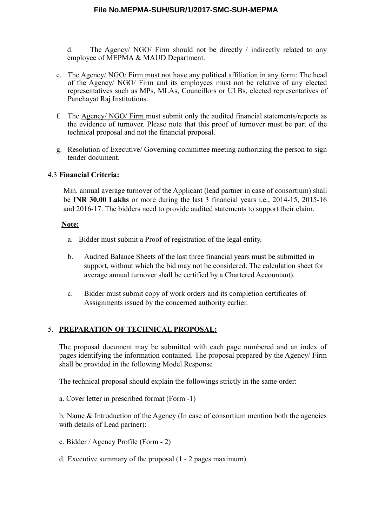d. The Agency/ NGO/ Firm should not be directly / indirectly related to any employee of MEPMA & MAUD Department.

- e. The Agency/ NGO/ Firm must not have any political affiliation in any form: The head of the Agency/ NGO/ Firm and its employees must not be relative of any elected representatives such as MPs, MLAs, Councillors or ULBs, elected representatives of Panchayat Raj Institutions.
- f. The Agency/ NGO/ Firm must submit only the audited financial statements/reports as the evidence of turnover. Please note that this proof of turnover must be part of the technical proposal and not the financial proposal.
- g. Resolution of Executive/ Governing committee meeting authorizing the person to sign tender document.

#### 4.3 **Financial Criteria:**

Min. annual average turnover of the Applicant (lead partner in case of consortium) shall be **INR 30.00 Lakhs** or more during the last 3 financial years i.e., 2014-15, 2015-16 and 2016-17. The bidders need to provide audited statements to support their claim.

#### **Note:**

- a. Bidder must submit a Proof of registration of the legal entity.
- b. Audited Balance Sheets of the last three financial years must be submitted in support, without which the bid may not be considered. The calculation sheet for average annual turnover shall be certified by a Chartered Accountant).
- c. Bidder must submit copy of work orders and its completion certificates of Assignments issued by the concerned authority earlier.

#### 5. **PREPARATION OF TECHNICAL PROPOSAL:**

The proposal document may be submitted with each page numbered and an index of pages identifying the information contained. The proposal prepared by the Agency/ Firm shall be provided in the following Model Response

The technical proposal should explain the followings strictly in the same order:

a. Cover letter in prescribed format (Form -1)

b. Name & Introduction of the Agency (In case of consortium mention both the agencies with details of Lead partner):

- c. Bidder / Agency Profile (Form 2)
- d. Executive summary of the proposal (1 2 pages maximum)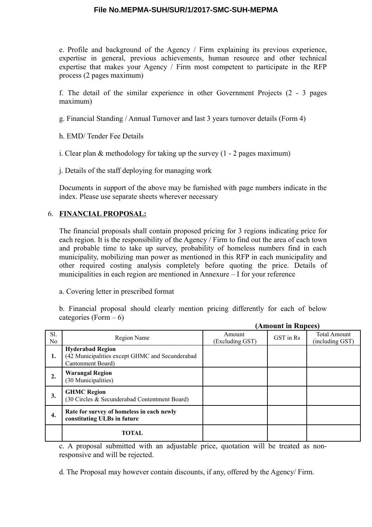e. Profile and background of the Agency / Firm explaining its previous experience, expertise in general, previous achievements, human resource and other technical expertise that makes your Agency / Firm most competent to participate in the RFP process (2 pages maximum)

f. The detail of the similar experience in other Government Projects (2 - 3 pages maximum)

g. Financial Standing / Annual Turnover and last 3 years turnover details (Form 4)

h. EMD/ Tender Fee Details

i. Clear plan & methodology for taking up the survey (1 - 2 pages maximum)

j. Details of the staff deploying for managing work

Documents in support of the above may be furnished with page numbers indicate in the index. Please use separate sheets wherever necessary

#### 6. **FINANCIAL PROPOSAL:**

The financial proposals shall contain proposed pricing for 3 regions indicating price for each region. It is the responsibility of the Agency / Firm to find out the area of each town and probable time to take up survey, probability of homeless numbers find in each municipality, mobilizing man power as mentioned in this RFP in each municipality and other required costing analysis completely before quoting the price. Details of municipalities in each region are mentioned in Annexure – I for your reference

a. Covering letter in prescribed format

b. Financial proposal should clearly mention pricing differently for each of below categories (Form  $-6$ )

|                       |                                                                                                 | (Amount in Rupees)        |           |                                        |  |
|-----------------------|-------------------------------------------------------------------------------------------------|---------------------------|-----------|----------------------------------------|--|
| Sl.<br>N <sub>0</sub> | Region Name                                                                                     | Amount<br>(Excluding GST) | GST in Rs | <b>Total Amount</b><br>(including GST) |  |
| 1.                    | <b>Hyderabad Region</b><br>(42 Municipalities except GHMC and Secunderabad<br>Cantonment Board) |                           |           |                                        |  |
| 2.                    | <b>Warangal Region</b><br>(30 Municipalities)                                                   |                           |           |                                        |  |
| 3.                    | <b>GHMC Region</b><br>(30 Circles & Secunderabad Contentment Board)                             |                           |           |                                        |  |
| 4.                    | Rate for survey of homeless in each newly<br>constituting ULBs in future                        |                           |           |                                        |  |
|                       | <b>TOTAL</b>                                                                                    |                           |           |                                        |  |

c. A proposal submitted with an adjustable price, quotation will be treated as nonresponsive and will be rejected.

d. The Proposal may however contain discounts, if any, offered by the Agency/ Firm.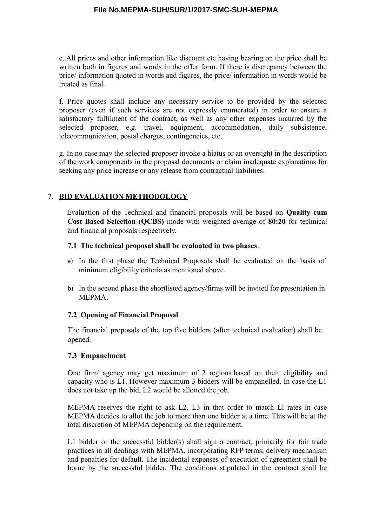e. All prices and other information like discount etc having bearing on the price shall be written both in figures and words in the offer form. If there is discrepancy between the price/ information quoted in words and figures, the price/ information in words would be treated as final.

f. Price quotes shall include any necessary service to be provided by the selected proposer (even if such services are not expressly enumerated) in order to ensure a satisfactory fulfilment of the contract, as well as any other expenses incurred by the selected proposer, e.g. travel, equipment, accommodation, daily subsistence, telecommunication, postal charges, contingencies, etc.

g. In no case may the selected proposer invoke a hiatus or an oversight in the description of the work components in the proposal documents or claim inadequate explanations for seeking any price increase or any release from contractual liabilities.

### 7. **BID EVALUATION METHODOLOGY**

Evaluation of the Technical and financial proposals will be based on **Quality cum Cost Based Selection (QCBS)** mode with weighted average of **80:20** for technical and financial proposals respectively.

#### **7.1 The technical proposal shall be evaluated in two phases**.

- a) In the first phase the Technical Proposals shall be evaluated on the basis of minimum eligibility criteria as mentioned above.
- b) In the second phase the shortlisted agency/firms will be invited for presentation in MEPMA.

#### **7.2 Opening of Financial Proposal**

The financial proposals of the top five bidders (after technical evaluation) shall be opened.

#### **7.3 Empanelment**

One firm/ agency may get maximum of 2 regions based on their eligibility and capacity who is L1. However maximum 3 bidders will be empanelled. In case the L1 does not take up the bid, L2 would be allotted the job.

MEPMA reserves the right to ask L2, L3 in that order to match Ll rates in case MEPMA decides to allot the job to more than one bidder at a time. This will be at the total discretion of MEPMA depending on the requirement.

L1 bidder or the successful bidder(s) shall sign a contract, primarily for fair trade practices in all dealings with MEPMA, incorporating RFP terms, delivery mechanism and penalties for default. The incidental expenses of execution of agreement shall be borne by the successful bidder. The conditions stipulated in the contract shall be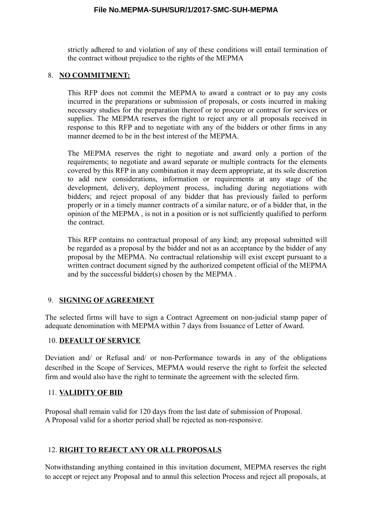strictly adhered to and violation of any of these conditions will entail termination of the contract without prejudice to the rights of the MEPMA

#### 8. **NO COMMITMENT:**

This RFP does not commit the MEPMA to award a contract or to pay any costs incurred in the preparations or submission of proposals, or costs incurred in making necessary studies for the preparation thereof or to procure or contract for services or supplies. The MEPMA reserves the right to reject any or all proposals received in response to this RFP and to negotiate with any of the bidders or other firms in any manner deemed to be in the best interest of the MEPMA.

The MEPMA reserves the right to negotiate and award only a portion of the requirements; to negotiate and award separate or multiple contracts for the elements covered by this RFP in any combination it may deem appropriate, at its sole discretion to add new considerations, information or requirements at any stage of the development, delivery, deployment process, including during negotiations with bidders; and reject proposal of any bidder that has previously failed to perform properly or in a timely manner contracts of a similar nature, or of a bidder that, in the opinion of the MEPMA , is not in a position or is not sufficiently qualified to perform the contract.

This RFP contains no contractual proposal of any kind; any proposal submitted will be regarded as a proposal by the bidder and not as an acceptance by the bidder of any proposal by the MEPMA. No contractual relationship will exist except pursuant to a written contract document signed by the authorized competent official of the MEPMA and by the successful bidder(s) chosen by the MEPMA .

#### 9. **SIGNING OF AGREEMENT**

The selected firms will have to sign a Contract Agreement on non-judicial stamp paper of adequate denomination with MEPMA within 7 days from Issuance of Letter of Award.

#### 10. **DEFAULT OF SERVICE**

Deviation and/ or Refusal and/ or non-Performance towards in any of the obligations described in the Scope of Services, MEPMA would reserve the right to forfeit the selected firm and would also have the right to terminate the agreement with the selected firm.

#### 11. **VALIDITY OF BID**

Proposal shall remain valid for 120 days from the last date of submission of Proposal. A Proposal valid for a shorter period shall be rejected as non-responsive.

#### 12. **RIGHT TO REJECT ANY OR ALL PROPOSALS**

Notwithstanding anything contained in this invitation document, MEPMA reserves the right to accept or reject any Proposal and to annul this selection Process and reject all proposals, at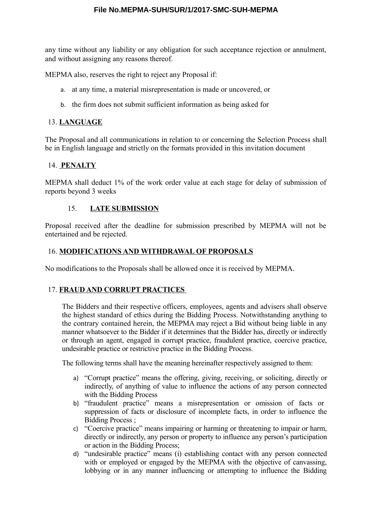any time without any liability or any obligation for such acceptance rejection or annulment, and without assigning any reasons thereof.

MEPMA also, reserves the right to reject any Proposal if:

- a. at any time, a material misrepresentation is made or uncovered, or
- b. the firm does not submit sufficient information as being asked for

#### 13. **LANGUAGE**

The Proposal and all communications in relation to or concerning the Selection Process shall be in English language and strictly on the formats provided in this invitation document

#### 14. **PENALTY**

MEPMA shall deduct 1% of the work order value at each stage for delay of submission of reports beyond 3 weeks

#### 15. **LATE SUBMISSION**

Proposal received after the deadline for submission prescribed by MEPMA will not be entertained and be rejected.

#### 16. **MODIFICATIONS AND WITHDRAWAL OF PROPOSALS**

No modifications to the Proposals shall be allowed once it is received by MEPMA.

#### 17. **FRAUD AND CORRUPT PRACTICES**

The Bidders and their respective officers, employees, agents and advisers shall observe the highest standard of ethics during the Bidding Process. Notwithstanding anything to the contrary contained herein, the MEPMA may reject a Bid without being liable in any manner whatsoever to the Bidder if it determines that the Bidder has, directly or indirectly or through an agent, engaged in corrupt practice, fraudulent practice, coercive practice, undesirable practice or restrictive practice in the Bidding Process.

The following terms shall have the meaning hereinafter respectively assigned to them:

- a) "Corrupt practice" means the offering, giving, receiving, or soliciting, directly or indirectly, of anything of value to influence the actions of any person connected with the Bidding Process
- b) "fraudulent practice" means a misrepresentation or omission of facts or suppression of facts or disclosure of incomplete facts, in order to influence the Bidding Process ;
- c) "Coercive practice" means impairing or harming or threatening to impair or harm, directly or indirectly, any person or property to influence any person's participation or action in the Bidding Process;
- d) "undesirable practice" means (i) establishing contact with any person connected with or employed or engaged by the MEPMA with the objective of canvassing, lobbying or in any manner influencing or attempting to influence the Bidding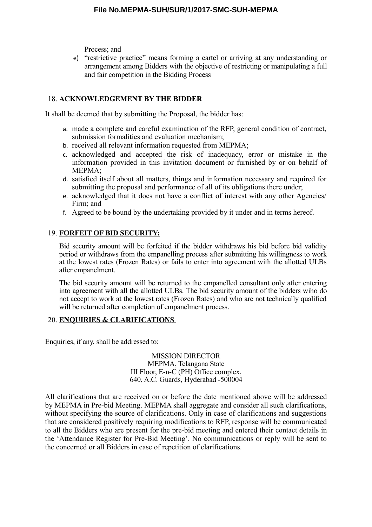Process; and

e) "restrictive practice" means forming a cartel or arriving at any understanding or arrangement among Bidders with the objective of restricting or manipulating a full and fair competition in the Bidding Process

#### 18. **ACKNOWLEDGEMENT BY THE BIDDER**

It shall be deemed that by submitting the Proposal, the bidder has:

- a. made a complete and careful examination of the RFP, general condition of contract, submission formalities and evaluation mechanism;
- b. received all relevant information requested from MEPMA;
- c. acknowledged and accepted the risk of inadequacy, error or mistake in the information provided in this invitation document or furnished by or on behalf of MEPMA;
- d. satisfied itself about all matters, things and information necessary and required for submitting the proposal and performance of all of its obligations there under;
- e. acknowledged that it does not have a conflict of interest with any other Agencies/ Firm; and
- f. Agreed to be bound by the undertaking provided by it under and in terms hereof.

#### 19. **FORFEIT OF BID SECURITY:**

Bid security amount will be forfeited if the bidder withdraws his bid before bid validity period or withdraws from the empanelling process after submitting his willingness to work at the lowest rates (Frozen Rates) or fails to enter into agreement with the allotted ULBs after empanelment.

The bid security amount will be returned to the empanelled consultant only after entering into agreement with all the allotted ULBs. The bid security amount of the bidders wiho do not accept to work at the lowest rates (Frozen Rates) and who are not technically qualified will be returned after completion of empanelment process.

#### 20. **ENQUIRIES & CLARIFICATIONS**

Enquiries, if any, shall be addressed to:

MISSION DIRECTOR MEPMA, Telangana State III Floor, E-n-C (PH) Office complex, 640, A.C. Guards, Hyderabad -500004

All clarifications that are received on or before the date mentioned above will be addressed by MEPMA in Pre-bid Meeting. MEPMA shall aggregate and consider all such clarifications, without specifying the source of clarifications. Only in case of clarifications and suggestions that are considered positively requiring modifications to RFP, response will be communicated to all the Bidders who are present for the pre-bid meeting and entered their contact details in the 'Attendance Register for Pre-Bid Meeting'. No communications or reply will be sent to the concerned or all Bidders in case of repetition of clarifications.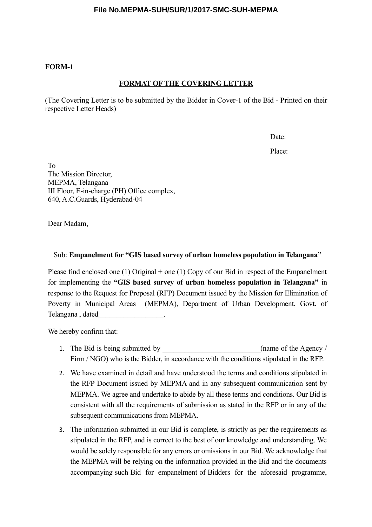#### **FORM-1**

#### **FORMAT OF THE COVERING LETTER**

(The Covering Letter is to be submitted by the Bidder in Cover-1 of the Bid - Printed on their respective Letter Heads)

Date:

Place:

To The Mission Director, MEPMA, Telangana III Floor, E-in-charge (PH) Office complex, 640, A.C.Guards, Hyderabad-04

Dear Madam,

#### Sub: **Empanelment for "GIS based survey of urban homeless population in Telangana"**

Please find enclosed one (1) Original + one (1) Copy of our Bid in respect of the Empanelment for implementing the **"GIS based survey of urban homeless population in Telangana"** in response to the Request for Proposal (RFP) Document issued by the Mission for Elimination of Poverty in Municipal Areas (MEPMA), Department of Urban Development, Govt. of Telangana , dated\_\_\_\_\_\_\_\_\_\_\_\_\_\_\_\_\_\_.

We hereby confirm that:

- 1. The Bid is being submitted by  $\qquad \qquad$  (name of the Agency / Firm / NGO) who is the Bidder, in accordance with the conditions stipulated in the RFP.
- 2. We have examined in detail and have understood the terms and conditions stipulated in the RFP Document issued by MEPMA and in any subsequent communication sent by MEPMA. We agree and undertake to abide by all these terms and conditions. Our Bid is consistent with all the requirements of submission as stated in the RFP or in any of the subsequent communications from MEPMA.
- 3. The information submitted in our Bid is complete, is strictly as per the requirements as stipulated in the RFP, and is correct to the best of our knowledge and understanding. We would be solely responsible for any errors or omissions in our Bid. We acknowledge that the MEPMA will be relying on the information provided in the Bid and the documents accompanying such Bid for empanelment of Bidders for the aforesaid programme,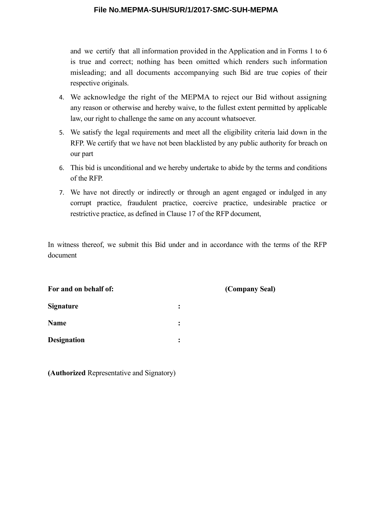and we certify that all information provided in the Application and in Forms 1 to 6 is true and correct; nothing has been omitted which renders such information misleading; and all documents accompanying such Bid are true copies of their respective originals.

- 4. We acknowledge the right of the MEPMA to reject our Bid without assigning any reason or otherwise and hereby waive, to the fullest extent permitted by applicable law, our right to challenge the same on any account whatsoever.
- 5. We satisfy the legal requirements and meet all the eligibility criteria laid down in the RFP. We certify that we have not been blacklisted by any public authority for breach on our part
- 6. This bid is unconditional and we hereby undertake to abide by the terms and conditions of the RFP.
- 7. We have not directly or indirectly or through an agent engaged or indulged in any corrupt practice, fraudulent practice, coercive practice, undesirable practice or restrictive practice, as defined in Clause 17 of the RFP document,

In witness thereof, we submit this Bid under and in accordance with the terms of the RFP document

| For and on behalf of: |                      | (Company Seal) |
|-----------------------|----------------------|----------------|
| <b>Signature</b>      | $\ddot{\phantom{a}}$ |                |
| <b>Name</b>           | $\ddot{\cdot}$       |                |
| <b>Designation</b>    | $\ddot{\cdot}$       |                |
|                       |                      |                |

**(Authorized** Representative and Signatory)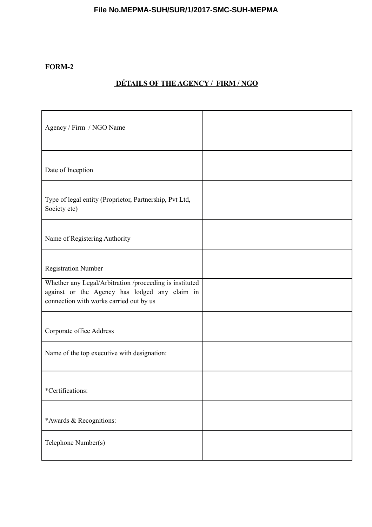# **FORM-2**

# **DÉTAILS OF THE AGENCY / FIRM / NGO**

| Agency / Firm / NGO Name                                                                                                                            |  |
|-----------------------------------------------------------------------------------------------------------------------------------------------------|--|
| Date of Inception                                                                                                                                   |  |
| Type of legal entity (Proprietor, Partnership, Pvt Ltd,<br>Society etc)                                                                             |  |
| Name of Registering Authority                                                                                                                       |  |
| <b>Registration Number</b>                                                                                                                          |  |
| Whether any Legal/Arbitration /proceeding is instituted<br>against or the Agency has lodged any claim in<br>connection with works carried out by us |  |
| Corporate office Address                                                                                                                            |  |
| Name of the top executive with designation:                                                                                                         |  |
| *Certifications:                                                                                                                                    |  |
| *Awards & Recognitions:                                                                                                                             |  |
| Telephone Number(s)                                                                                                                                 |  |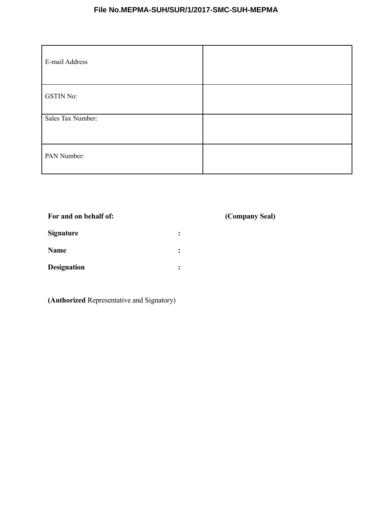| E-mail Address    |  |
|-------------------|--|
| <b>GSTIN No:</b>  |  |
| Sales Tax Number: |  |
| PAN Number:       |  |

# **For and on behalf of: (Company Seal)**

| <b>Signature</b>   |  |
|--------------------|--|
| Name               |  |
| <b>Designation</b> |  |

**(Authorized** Representative and Signatory)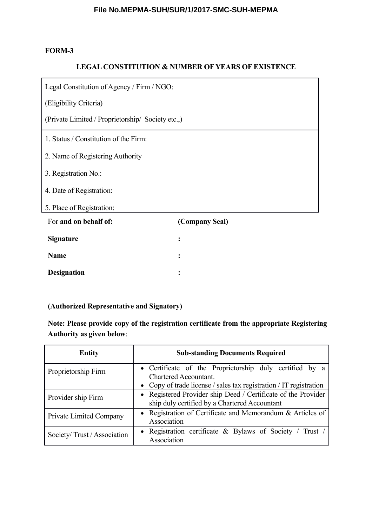#### **FORM-3**

#### **LEGAL CONSTITUTION & NUMBER OF YEARS OF EXISTENCE**

Legal Constitution of Agency / Firm / NGO:

(Eligibility Criteria)

(Private Limited / Proprietorship/ Society etc.,)

1. Status / Constitution of the Firm:

2. Name of Registering Authority

3. Registration No.:

4. Date of Registration:

5. Place of Registration:

| For and on behalf of: | (Company Seal) |
|-----------------------|----------------|
| <b>Signature</b>      |                |
| <b>Name</b>           |                |
| <b>Designation</b>    |                |

#### **(Authorized Representative and Signatory)**

**Note: Please provide copy of the registration certificate from the appropriate Registering Authority as given below**:

| <b>Entity</b>                                                                                                                        | <b>Sub-standing Documents Required</b>                                           |
|--------------------------------------------------------------------------------------------------------------------------------------|----------------------------------------------------------------------------------|
| Proprietorship Firm                                                                                                                  | • Certificate of the Proprietorship duly certified by a<br>Chartered Accountant. |
|                                                                                                                                      | • Copy of trade license / sales tax registration / IT registration               |
| • Registered Provider ship Deed / Certificate of the Provider<br>Provider ship Firm<br>ship duly certified by a Chartered Accountant |                                                                                  |
| Private Limited Company                                                                                                              | • Registration of Certificate and Memorandum & Articles of<br>Association        |
| Society/Trust/Association                                                                                                            | • Registration certificate & Bylaws of Society / Trust /<br>Association          |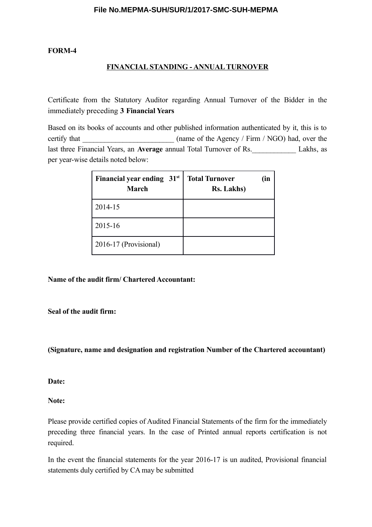#### **FORM-4**

#### **FINANCIAL STANDING - ANNUAL TURNOVER**

Certificate from the Statutory Auditor regarding Annual Turnover of the Bidder in the immediately preceding **3 Financial Years** 

Based on its books of accounts and other published information authenticated by it, this is to certify that (name of the Agency / Firm / NGO) had, over the last three Financial Years, an **Average** annual Total Turnover of Rs.\_\_\_\_\_\_\_\_\_\_\_\_ Lakhs, as per year-wise details noted below:

| Financial year ending 31 <sup>st</sup><br><b>March</b> | <b>Total Turnover</b><br>(in<br><b>Rs. Lakhs</b> ) |
|--------------------------------------------------------|----------------------------------------------------|
| 2014-15                                                |                                                    |
| 2015-16                                                |                                                    |
| 2016-17 (Provisional)                                  |                                                    |

**Name of the audit firm/ Chartered Accountant:** 

#### **Seal of the audit firm:**

#### **(Signature, name and designation and registration Number of the Chartered accountant)**

**Date:** 

**Note:** 

Please provide certified copies of Audited Financial Statements of the firm for the immediately preceding three financial years. In the case of Printed annual reports certification is not required.

In the event the financial statements for the year 2016-17 is un audited, Provisional financial statements duly certified by CA may be submitted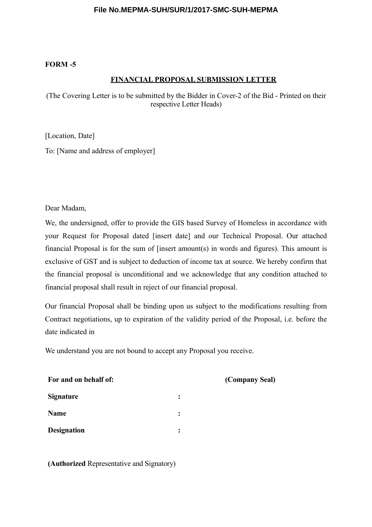#### **FORM -5**

#### **FINANCIAL PROPOSAL SUBMISSION LETTER**

(The Covering Letter is to be submitted by the Bidder in Cover-2 of the Bid - Printed on their respective Letter Heads)

[Location, Date]

To: [Name and address of employer]

Dear Madam,

We, the undersigned, offer to provide the GIS based Survey of Homeless in accordance with your Request for Proposal dated [insert date] and our Technical Proposal. Our attached financial Proposal is for the sum of [insert amount(s) in words and figures). This amount is exclusive of GST and is subject to deduction of income tax at source. We hereby confirm that the financial proposal is unconditional and we acknowledge that any condition attached to financial proposal shall result in reject of our financial proposal.

Our financial Proposal shall be binding upon us subject to the modifications resulting from Contract negotiations, up to expiration of the validity period of the Proposal, i.e. before the date indicated in

**(Company Seal)** 

We understand you are not bound to accept any Proposal you receive.

| For and on behalf of: |  |
|-----------------------|--|
| <b>Signature</b>      |  |
| <b>Name</b>           |  |
| <b>Designation</b>    |  |

**(Authorized** Representative and Signatory)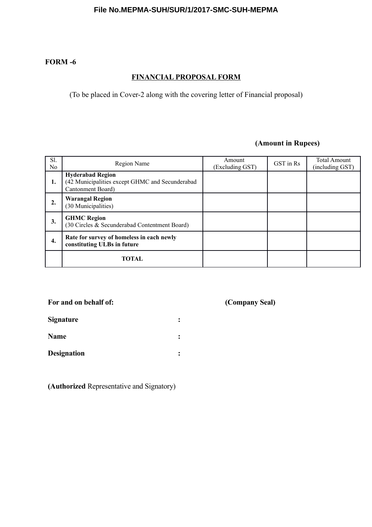#### **FORM -6**

# **FINANCIAL PROPOSAL FORM**

(To be placed in Cover-2 along with the covering letter of Financial proposal)

# **(Amount in Rupees)**

| Sl.<br>N <sub>0</sub> | Region Name                                                                                     | Amount<br>(Excluding GST) | GST in Rs | <b>Total Amount</b><br>(including GST) |
|-----------------------|-------------------------------------------------------------------------------------------------|---------------------------|-----------|----------------------------------------|
| 1.                    | <b>Hyderabad Region</b><br>(42 Municipalities except GHMC and Secunderabad<br>Cantonment Board) |                           |           |                                        |
| $\overline{2}$ .      | <b>Warangal Region</b><br>(30 Municipalities)                                                   |                           |           |                                        |
| 3.                    | <b>GHMC Region</b><br>(30 Circles & Secunderabad Contentment Board)                             |                           |           |                                        |
| 4.                    | Rate for survey of homeless in each newly<br>constituting ULBs in future                        |                           |           |                                        |
|                       | <b>TOTAL</b>                                                                                    |                           |           |                                        |

# **For and on behalf of: (Company Seal)**

| <b>Signature</b> |  |
|------------------|--|
| <b>Name</b>      |  |

**Designation :**

**(Authorized** Representative and Signatory)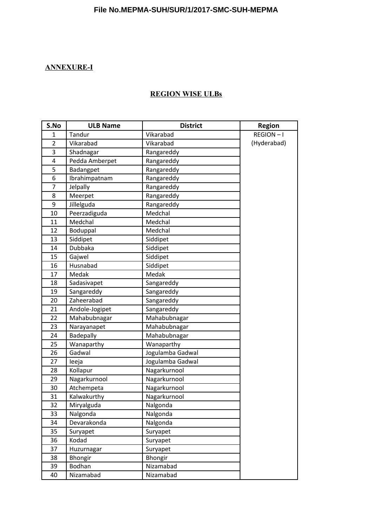# **ANNEXURE-I**

# **REGION WISE ULBs**

| S.No           | <b>ULB Name</b> | <b>District</b>  | <b>Region</b> |
|----------------|-----------------|------------------|---------------|
| 1              | Tandur          | Vikarabad        | REGION-I      |
| $\overline{2}$ | Vikarabad       | Vikarabad        | (Hyderabad)   |
| 3              | Shadnagar       | Rangareddy       |               |
| 4              | Pedda Amberpet  | Rangareddy       |               |
| 5              | Badangpet       | Rangareddy       |               |
| 6              | Ibrahimpatnam   | Rangareddy       |               |
| $\overline{7}$ | Jelpally        | Rangareddy       |               |
| 8              | Meerpet         | Rangareddy       |               |
| 9              | Jillelguda      | Rangareddy       |               |
| 10             | Peerzadiguda    | Medchal          |               |
| 11             | Medchal         | Medchal          |               |
| 12             | Boduppal        | Medchal          |               |
| 13             | Siddipet        | Siddipet         |               |
| 14             | Dubbaka         | Siddipet         |               |
| 15             | Gajwel          | Siddipet         |               |
| 16             | Husnabad        | Siddipet         |               |
| 17             | Medak           | Medak            |               |
| 18             | Sadasivapet     | Sangareddy       |               |
| 19             | Sangareddy      | Sangareddy       |               |
| 20             | Zaheerabad      | Sangareddy       |               |
| 21             | Andole-Jogipet  | Sangareddy       |               |
| 22             | Mahabubnagar    | Mahabubnagar     |               |
| 23             | Narayanapet     | Mahabubnagar     |               |
| 24             | Badepally       | Mahabubnagar     |               |
| 25             | Wanaparthy      | Wanaparthy       |               |
| 26             | Gadwal          | Jogulamba Gadwal |               |
| 27             | leeja           | Jogulamba Gadwal |               |
| 28             | Kollapur        | Nagarkurnool     |               |
| 29             | Nagarkurnool    | Nagarkurnool     |               |
| 30             | Atchempeta      | Nagarkurnool     |               |
| 31             | Kalwakurthy     | Nagarkurnool     |               |
| 32             | Miryalguda      | Nalgonda         |               |
| 33             | Nalgonda        | Nalgonda         |               |
| 34             | Devarakonda     | Nalgonda         |               |
| 35             | Suryapet        | Suryapet         |               |
| 36             | Kodad           | Suryapet         |               |
| 37             | Huzurnagar      | Suryapet         |               |
| 38             | Bhongir         | Bhongir          |               |
| 39             | Bodhan          | Nizamabad        |               |
| 40             | Nizamabad       | Nizamabad        |               |